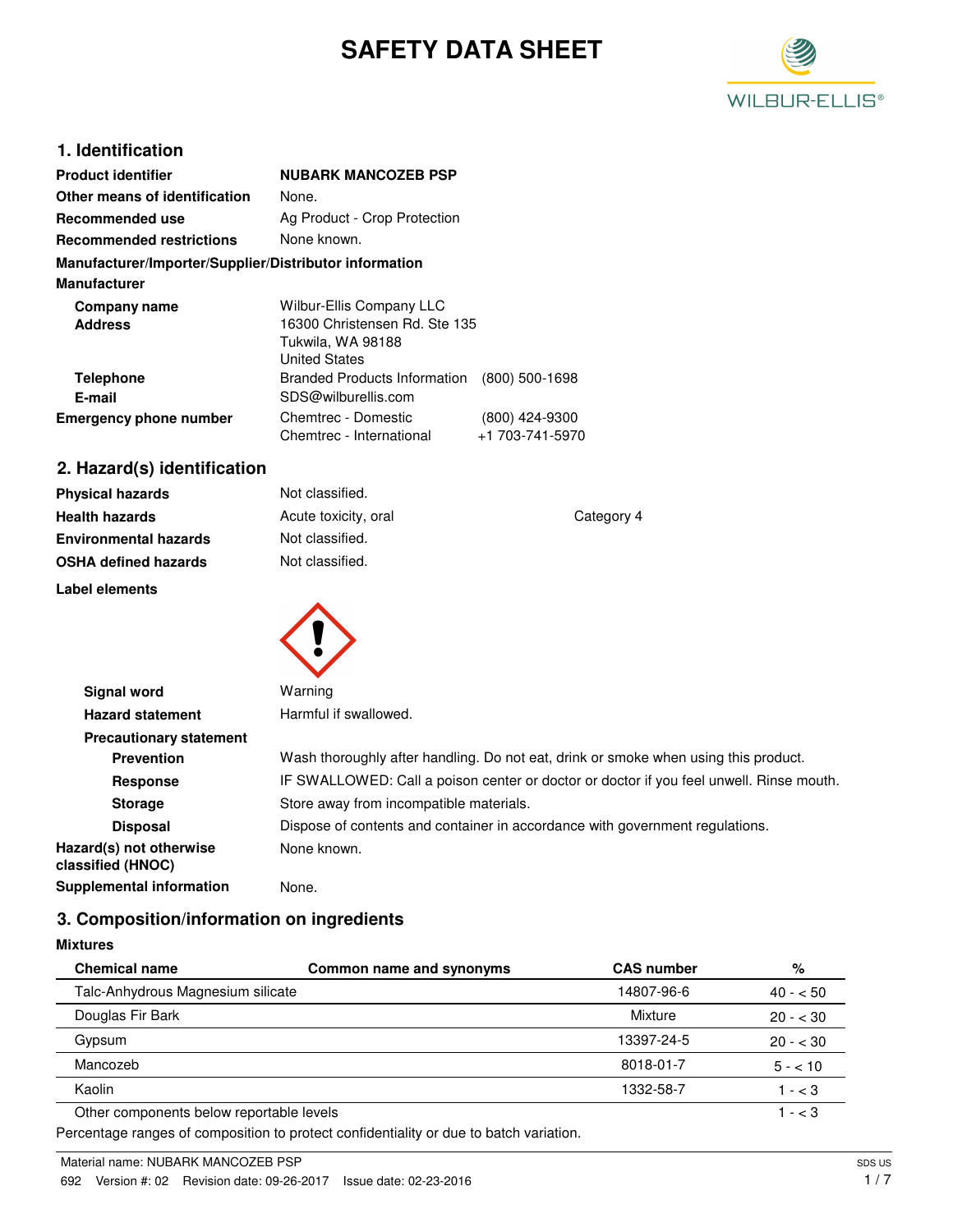# **SAFETY DATA SHEET**



## **1. Identification**

| <b>Product identifier</b>                              | <b>NUBARK MANCOZEB PSP</b>                                                                             |                                   |
|--------------------------------------------------------|--------------------------------------------------------------------------------------------------------|-----------------------------------|
| Other means of identification                          | None.                                                                                                  |                                   |
| Recommended use                                        | Ag Product - Crop Protection                                                                           |                                   |
| <b>Recommended restrictions</b>                        | None known.                                                                                            |                                   |
| Manufacturer/Importer/Supplier/Distributor information |                                                                                                        |                                   |
| <b>Manufacturer</b>                                    |                                                                                                        |                                   |
| Company name<br><b>Address</b>                         | Wilbur-Ellis Company LLC<br>16300 Christensen Rd. Ste 135<br>Tukwila, WA 98188<br><b>United States</b> |                                   |
| <b>Telephone</b><br>E-mail                             | <b>Branded Products Information</b><br>SDS@wilburellis.com                                             | $(800)$ 500-1698                  |
| <b>Emergency phone number</b>                          | Chemtrec - Domestic<br>Chemtrec - International                                                        | (800) 424-9300<br>+1 703-741-5970 |

## **2. Hazard(s) identification**

| <b>Physical hazards</b>      | Not classified.      |            |
|------------------------------|----------------------|------------|
| <b>Health hazards</b>        | Acute toxicity, oral | Category 4 |
| <b>Environmental hazards</b> | Not classified.      |            |
| <b>OSHA defined hazards</b>  | Not classified.      |            |
| Label elements               |                      |            |



| Signal word                                  | Warning                                                                                 |
|----------------------------------------------|-----------------------------------------------------------------------------------------|
| <b>Hazard statement</b>                      | Harmful if swallowed.                                                                   |
| <b>Precautionary statement</b>               |                                                                                         |
| <b>Prevention</b>                            | Wash thoroughly after handling. Do not eat, drink or smoke when using this product.     |
| Response                                     | IF SWALLOWED: Call a poison center or doctor or doctor if you feel unwell. Rinse mouth. |
| <b>Storage</b>                               | Store away from incompatible materials.                                                 |
| <b>Disposal</b>                              | Dispose of contents and container in accordance with government regulations.            |
| Hazard(s) not otherwise<br>classified (HNOC) | None known.                                                                             |
| Supplemental information                     | None.                                                                                   |

## **3. Composition/information on ingredients**

**Mixtures**

| <b>Chemical name</b>                                                                   | Common name and synonyms | <b>CAS number</b> | %         |
|----------------------------------------------------------------------------------------|--------------------------|-------------------|-----------|
| Talc-Anhydrous Magnesium silicate                                                      |                          | 14807-96-6        | $40 - 50$ |
| Douglas Fir Bark                                                                       |                          | Mixture           | $20 - 30$ |
| Gypsum                                                                                 |                          | 13397-24-5        | $20 - 30$ |
| Mancozeb                                                                               |                          | 8018-01-7         | $5 - 10$  |
| Kaolin                                                                                 |                          | 1332-58-7         | $1 - < 3$ |
| Other components below reportable levels                                               |                          |                   | $1 - < 3$ |
| Percentage ranges of composition to protect confidentiality or due to batch variation. |                          |                   |           |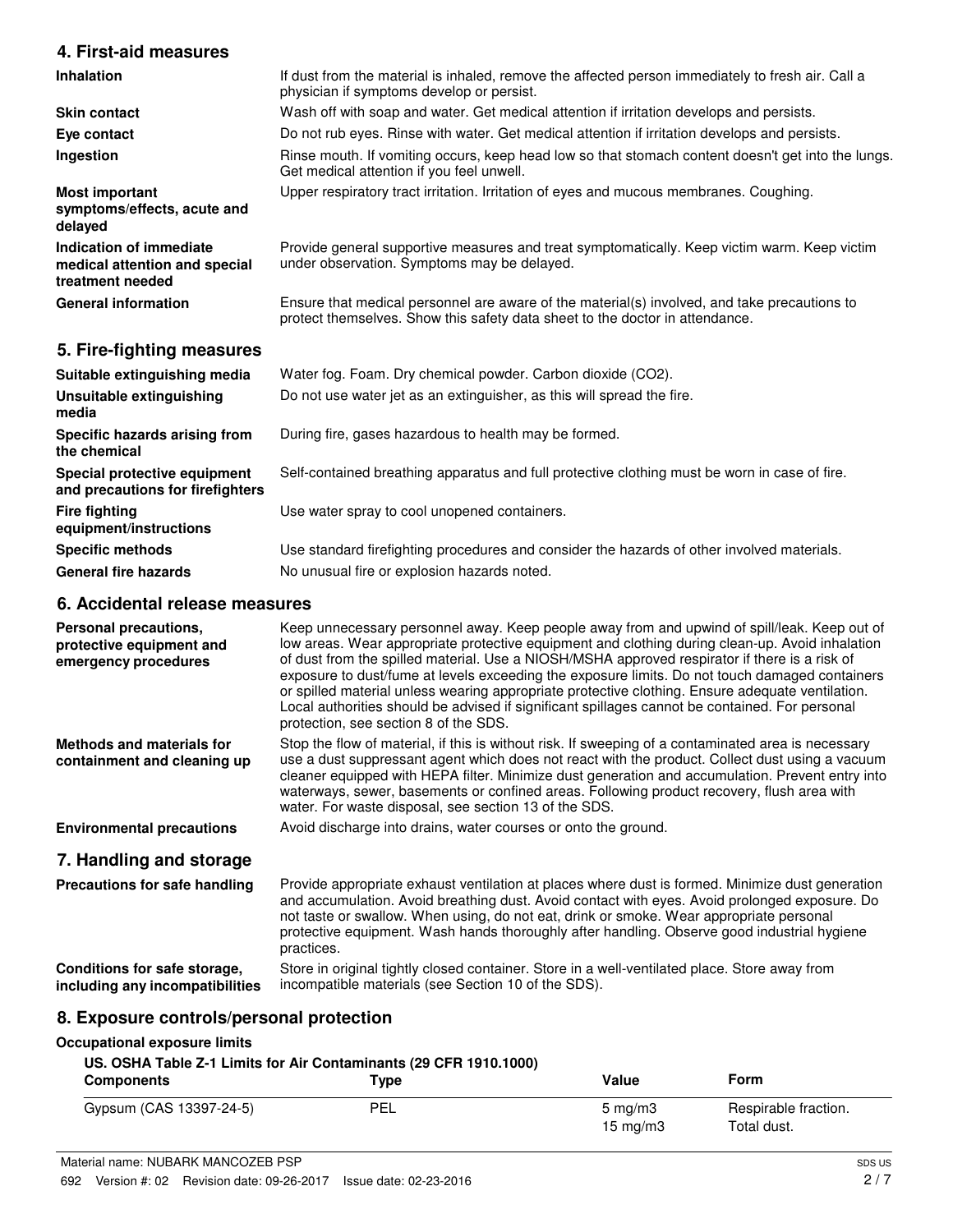## **4. First-aid measures**

| <b>Inhalation</b>                                                            | If dust from the material is inhaled, remove the affected person immediately to fresh air. Call a<br>physician if symptoms develop or persist.                               |
|------------------------------------------------------------------------------|------------------------------------------------------------------------------------------------------------------------------------------------------------------------------|
| <b>Skin contact</b>                                                          | Wash off with soap and water. Get medical attention if irritation develops and persists.                                                                                     |
| Eye contact                                                                  | Do not rub eyes. Rinse with water. Get medical attention if irritation develops and persists.                                                                                |
| Ingestion                                                                    | Rinse mouth. If vomiting occurs, keep head low so that stomach content doesn't get into the lungs.<br>Get medical attention if you feel unwell.                              |
| <b>Most important</b><br>symptoms/effects, acute and<br>delayed              | Upper respiratory tract irritation. Irritation of eyes and mucous membranes. Coughing.                                                                                       |
| Indication of immediate<br>medical attention and special<br>treatment needed | Provide general supportive measures and treat symptomatically. Keep victim warm. Keep victim<br>under observation. Symptoms may be delayed.                                  |
| <b>General information</b>                                                   | Ensure that medical personnel are aware of the material(s) involved, and take precautions to<br>protect themselves. Show this safety data sheet to the doctor in attendance. |

### **5. Fire-fighting measures**

| Suitable extinguishing media                                     | Water fog. Foam. Dry chemical powder. Carbon dioxide (CO2).                                   |
|------------------------------------------------------------------|-----------------------------------------------------------------------------------------------|
| Unsuitable extinguishing<br>media                                | Do not use water jet as an extinguisher, as this will spread the fire.                        |
| Specific hazards arising from<br>the chemical                    | During fire, gases hazardous to health may be formed.                                         |
| Special protective equipment<br>and precautions for firefighters | Self-contained breathing apparatus and full protective clothing must be worn in case of fire. |
| <b>Fire fighting</b><br>equipment/instructions                   | Use water spray to cool unopened containers.                                                  |
| <b>Specific methods</b>                                          | Use standard firefighting procedures and consider the hazards of other involved materials.    |
| <b>General fire hazards</b>                                      | No unusual fire or explosion hazards noted.                                                   |

## **6. Accidental release measures**

| Personal precautions,<br>protective equipment and<br>emergency procedures | Keep unnecessary personnel away. Keep people away from and upwind of spill/leak. Keep out of<br>low areas. Wear appropriate protective equipment and clothing during clean-up. Avoid inhalation<br>of dust from the spilled material. Use a NIOSH/MSHA approved respirator if there is a risk of<br>exposure to dust/fume at levels exceeding the exposure limits. Do not touch damaged containers<br>or spilled material unless wearing appropriate protective clothing. Ensure adequate ventilation.<br>Local authorities should be advised if significant spillages cannot be contained. For personal<br>protection, see section 8 of the SDS. |
|---------------------------------------------------------------------------|---------------------------------------------------------------------------------------------------------------------------------------------------------------------------------------------------------------------------------------------------------------------------------------------------------------------------------------------------------------------------------------------------------------------------------------------------------------------------------------------------------------------------------------------------------------------------------------------------------------------------------------------------|
| <b>Methods and materials for</b><br>containment and cleaning up           | Stop the flow of material, if this is without risk. If sweeping of a contaminated area is necessary<br>use a dust suppressant agent which does not react with the product. Collect dust using a vacuum<br>cleaner equipped with HEPA filter. Minimize dust generation and accumulation. Prevent entry into<br>waterways, sewer, basements or confined areas. Following product recovery, flush area with<br>water. For waste disposal, see section 13 of the SDS.                                                                                                                                                                                 |
| <b>Environmental precautions</b>                                          | Avoid discharge into drains, water courses or onto the ground.                                                                                                                                                                                                                                                                                                                                                                                                                                                                                                                                                                                    |
| 7. Handling and storage                                                   |                                                                                                                                                                                                                                                                                                                                                                                                                                                                                                                                                                                                                                                   |
| Precautions for safe handling                                             | Provide appropriate exhaust ventilation at places where dust is formed. Minimize dust generation<br>and accumulation. Avoid breathing dust. Avoid contact with eyes. Avoid prolonged exposure. Do<br>not taste or swallow. When using, do not eat, drink or smoke. Wear appropriate personal<br>protective equipment. Wash hands thoroughly after handling. Observe good industrial hygiene<br>practices.                                                                                                                                                                                                                                         |
| Conditions for safe storage,                                              | Store in original tightly closed container. Store in a well-ventilated place. Store away from                                                                                                                                                                                                                                                                                                                                                                                                                                                                                                                                                     |

## **8. Exposure controls/personal protection**

#### **Occupational exposure limits**

**including any incompatibilities**

#### **US. OSHA Table Z-1 Limits for Air Contaminants (29 CFR 1910.1000)**

| <b>Components</b>       | Туре | Value             | Form                 |
|-------------------------|------|-------------------|----------------------|
| Gypsum (CAS 13397-24-5) | PEL  | $5 \text{ mg/m}$  | Respirable fraction. |
|                         |      | $15 \text{ mg/m}$ | Total dust.          |

incompatible materials (see Section 10 of the SDS).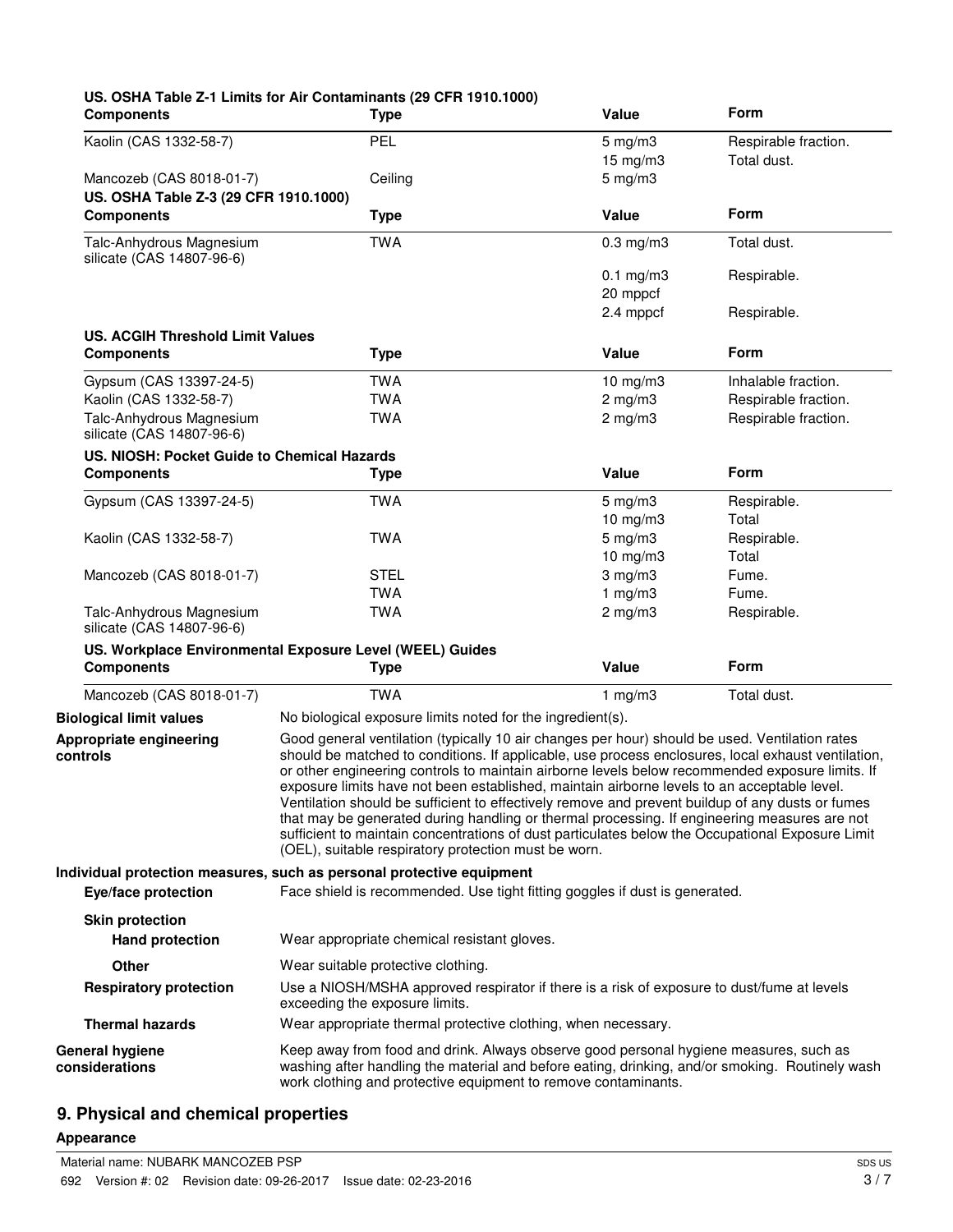| <b>Components</b>                                            | US. OSHA Table Z-1 Limits for Air Contaminants (29 CFR 1910.1000)<br><b>Type</b>                                                                                                                                                                                                                                                                                                                                                                                                                                                                                                                                                                                                                                                                                       | Value                                   | Form                                |
|--------------------------------------------------------------|------------------------------------------------------------------------------------------------------------------------------------------------------------------------------------------------------------------------------------------------------------------------------------------------------------------------------------------------------------------------------------------------------------------------------------------------------------------------------------------------------------------------------------------------------------------------------------------------------------------------------------------------------------------------------------------------------------------------------------------------------------------------|-----------------------------------------|-------------------------------------|
| Kaolin (CAS 1332-58-7)                                       | <b>PEL</b>                                                                                                                                                                                                                                                                                                                                                                                                                                                                                                                                                                                                                                                                                                                                                             | $5 \text{ mg/m}$ 3<br>$15 \text{ mg/m}$ | Respirable fraction.<br>Total dust. |
| Mancozeb (CAS 8018-01-7)                                     | Ceiling                                                                                                                                                                                                                                                                                                                                                                                                                                                                                                                                                                                                                                                                                                                                                                | $5$ mg/m $3$                            |                                     |
| US. OSHA Table Z-3 (29 CFR 1910.1000)<br><b>Components</b>   | <b>Type</b>                                                                                                                                                                                                                                                                                                                                                                                                                                                                                                                                                                                                                                                                                                                                                            | Value                                   | Form                                |
| Talc-Anhydrous Magnesium<br>silicate (CAS 14807-96-6)        | <b>TWA</b>                                                                                                                                                                                                                                                                                                                                                                                                                                                                                                                                                                                                                                                                                                                                                             | $0.3$ mg/m $3$                          | Total dust.                         |
|                                                              |                                                                                                                                                                                                                                                                                                                                                                                                                                                                                                                                                                                                                                                                                                                                                                        | $0.1$ mg/m $3$<br>20 mppcf              | Respirable.                         |
|                                                              |                                                                                                                                                                                                                                                                                                                                                                                                                                                                                                                                                                                                                                                                                                                                                                        | 2.4 mppcf                               | Respirable.                         |
| <b>US. ACGIH Threshold Limit Values</b><br><b>Components</b> | <b>Type</b>                                                                                                                                                                                                                                                                                                                                                                                                                                                                                                                                                                                                                                                                                                                                                            | Value                                   | Form                                |
|                                                              |                                                                                                                                                                                                                                                                                                                                                                                                                                                                                                                                                                                                                                                                                                                                                                        |                                         |                                     |
| Gypsum (CAS 13397-24-5)                                      | <b>TWA</b>                                                                                                                                                                                                                                                                                                                                                                                                                                                                                                                                                                                                                                                                                                                                                             | $10$ mg/m $3$                           | Inhalable fraction.                 |
| Kaolin (CAS 1332-58-7)                                       | <b>TWA</b>                                                                                                                                                                                                                                                                                                                                                                                                                                                                                                                                                                                                                                                                                                                                                             | $2$ mg/m $3$                            | Respirable fraction.                |
| Talc-Anhydrous Magnesium<br>silicate (CAS 14807-96-6)        | <b>TWA</b>                                                                                                                                                                                                                                                                                                                                                                                                                                                                                                                                                                                                                                                                                                                                                             | $2$ mg/m $3$                            | Respirable fraction.                |
| US. NIOSH: Pocket Guide to Chemical Hazards                  |                                                                                                                                                                                                                                                                                                                                                                                                                                                                                                                                                                                                                                                                                                                                                                        |                                         |                                     |
| <b>Components</b>                                            | <b>Type</b>                                                                                                                                                                                                                                                                                                                                                                                                                                                                                                                                                                                                                                                                                                                                                            | Value                                   | Form                                |
| Gypsum (CAS 13397-24-5)                                      | <b>TWA</b>                                                                                                                                                                                                                                                                                                                                                                                                                                                                                                                                                                                                                                                                                                                                                             | $5$ mg/m $3$                            | Respirable.                         |
|                                                              |                                                                                                                                                                                                                                                                                                                                                                                                                                                                                                                                                                                                                                                                                                                                                                        | 10 $mg/m3$                              | Total                               |
| Kaolin (CAS 1332-58-7)                                       | <b>TWA</b>                                                                                                                                                                                                                                                                                                                                                                                                                                                                                                                                                                                                                                                                                                                                                             | $5 \text{ mg/m}$ 3                      | Respirable.                         |
|                                                              |                                                                                                                                                                                                                                                                                                                                                                                                                                                                                                                                                                                                                                                                                                                                                                        | $10$ mg/m $3$                           | Total                               |
| Mancozeb (CAS 8018-01-7)                                     | <b>STEL</b>                                                                                                                                                                                                                                                                                                                                                                                                                                                                                                                                                                                                                                                                                                                                                            | $3$ mg/m $3$                            | Fume.                               |
| Talc-Anhydrous Magnesium                                     | <b>TWA</b><br><b>TWA</b>                                                                                                                                                                                                                                                                                                                                                                                                                                                                                                                                                                                                                                                                                                                                               | 1 $mg/m3$<br>$2$ mg/m $3$               | Fume.<br>Respirable.                |
| silicate (CAS 14807-96-6)                                    |                                                                                                                                                                                                                                                                                                                                                                                                                                                                                                                                                                                                                                                                                                                                                                        |                                         |                                     |
|                                                              | US. Workplace Environmental Exposure Level (WEEL) Guides                                                                                                                                                                                                                                                                                                                                                                                                                                                                                                                                                                                                                                                                                                               |                                         |                                     |
| <b>Components</b>                                            | <b>Type</b>                                                                                                                                                                                                                                                                                                                                                                                                                                                                                                                                                                                                                                                                                                                                                            | Value                                   | Form                                |
| Mancozeb (CAS 8018-01-7)                                     | <b>TWA</b>                                                                                                                                                                                                                                                                                                                                                                                                                                                                                                                                                                                                                                                                                                                                                             | 1 $mg/m3$                               | Total dust.                         |
| <b>Biological limit values</b>                               | No biological exposure limits noted for the ingredient(s).                                                                                                                                                                                                                                                                                                                                                                                                                                                                                                                                                                                                                                                                                                             |                                         |                                     |
| Appropriate engineering<br>controls                          | Good general ventilation (typically 10 air changes per hour) should be used. Ventilation rates<br>should be matched to conditions. If applicable, use process enclosures, local exhaust ventilation,<br>or other engineering controls to maintain airborne levels below recommended exposure limits. If<br>exposure limits have not been established, maintain airborne levels to an acceptable level.<br>Ventilation should be sufficient to effectively remove and prevent buildup of any dusts or fumes<br>that may be generated during handling or thermal processing. If engineering measures are not<br>sufficient to maintain concentrations of dust particulates below the Occupational Exposure Limit<br>(OEL), suitable respiratory protection must be worn. |                                         |                                     |
|                                                              | Individual protection measures, such as personal protective equipment                                                                                                                                                                                                                                                                                                                                                                                                                                                                                                                                                                                                                                                                                                  |                                         |                                     |
| Eye/face protection                                          | Face shield is recommended. Use tight fitting goggles if dust is generated.                                                                                                                                                                                                                                                                                                                                                                                                                                                                                                                                                                                                                                                                                            |                                         |                                     |
| <b>Skin protection</b><br><b>Hand protection</b>             | Wear appropriate chemical resistant gloves.                                                                                                                                                                                                                                                                                                                                                                                                                                                                                                                                                                                                                                                                                                                            |                                         |                                     |
| <b>Other</b>                                                 | Wear suitable protective clothing.                                                                                                                                                                                                                                                                                                                                                                                                                                                                                                                                                                                                                                                                                                                                     |                                         |                                     |
| <b>Respiratory protection</b>                                | Use a NIOSH/MSHA approved respirator if there is a risk of exposure to dust/fume at levels<br>exceeding the exposure limits.                                                                                                                                                                                                                                                                                                                                                                                                                                                                                                                                                                                                                                           |                                         |                                     |
| <b>Thermal hazards</b>                                       | Wear appropriate thermal protective clothing, when necessary.                                                                                                                                                                                                                                                                                                                                                                                                                                                                                                                                                                                                                                                                                                          |                                         |                                     |
| <b>General hygiene</b><br>considerations                     | Keep away from food and drink. Always observe good personal hygiene measures, such as<br>washing after handling the material and before eating, drinking, and/or smoking. Routinely wash<br>work clothing and protective equipment to remove contaminants.                                                                                                                                                                                                                                                                                                                                                                                                                                                                                                             |                                         |                                     |

## **9. Physical and chemical properties**

#### **Appearance**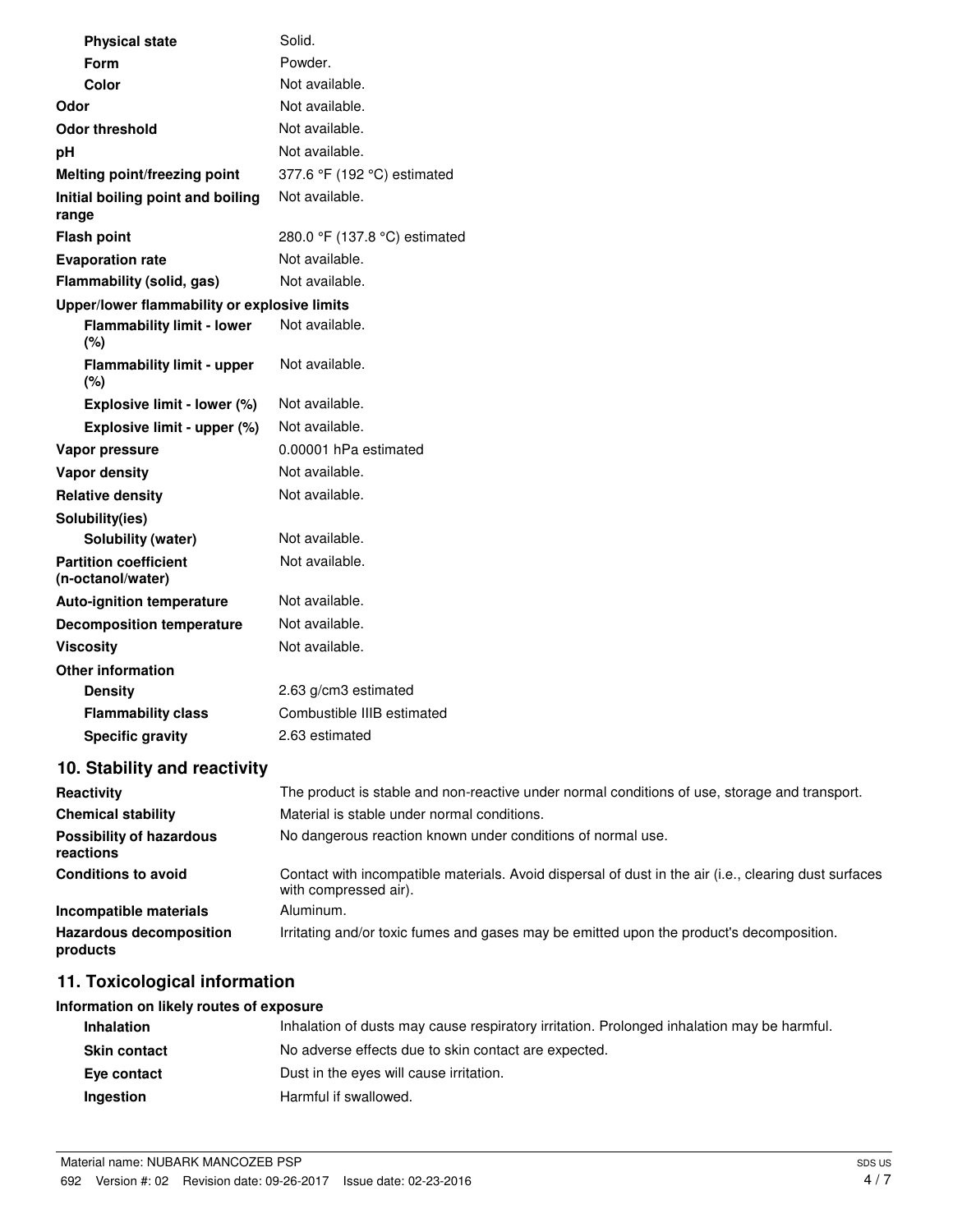| <b>Physical state</b>                             | Solid.                                                                                        |
|---------------------------------------------------|-----------------------------------------------------------------------------------------------|
| Form                                              | Powder.                                                                                       |
| Color                                             | Not available.                                                                                |
| Odor                                              | Not available.                                                                                |
| <b>Odor threshold</b>                             | Not available.                                                                                |
| pH                                                | Not available.                                                                                |
| Melting point/freezing point                      | 377.6 °F (192 °C) estimated                                                                   |
| Initial boiling point and boiling<br>range        | Not available.                                                                                |
| <b>Flash point</b>                                | 280.0 °F (137.8 °C) estimated                                                                 |
| <b>Evaporation rate</b>                           | Not available.                                                                                |
| Flammability (solid, gas)                         | Not available.                                                                                |
| Upper/lower flammability or explosive limits      |                                                                                               |
| <b>Flammability limit - lower</b><br>(%)          | Not available.                                                                                |
| <b>Flammability limit - upper</b><br>(%)          | Not available.                                                                                |
| Explosive limit - lower (%)                       | Not available.                                                                                |
| Explosive limit - upper (%)                       | Not available.                                                                                |
| Vapor pressure                                    | 0.00001 hPa estimated                                                                         |
| <b>Vapor density</b>                              | Not available.                                                                                |
| <b>Relative density</b>                           | Not available.                                                                                |
| Solubility(ies)                                   |                                                                                               |
| <b>Solubility (water)</b>                         | Not available.                                                                                |
| <b>Partition coefficient</b><br>(n-octanol/water) | Not available.                                                                                |
| <b>Auto-ignition temperature</b>                  | Not available.                                                                                |
| <b>Decomposition temperature</b>                  | Not available.                                                                                |
| <b>Viscosity</b>                                  | Not available.                                                                                |
| <b>Other information</b>                          |                                                                                               |
| <b>Density</b>                                    | 2.63 g/cm3 estimated                                                                          |
| <b>Flammability class</b>                         | Combustible IIIB estimated                                                                    |
| <b>Specific gravity</b>                           | 2.63 estimated                                                                                |
| 10. Stability and reactivity                      |                                                                                               |
| Reactivity                                        | The product is stable and non-reactive under normal conditions of use, storage and transport. |

|                                              | The product is stable and non-reactive ander nonnat conditions or door storage and transport.                                  |
|----------------------------------------------|--------------------------------------------------------------------------------------------------------------------------------|
| <b>Chemical stability</b>                    | Material is stable under normal conditions.                                                                                    |
| <b>Possibility of hazardous</b><br>reactions | No dangerous reaction known under conditions of normal use.                                                                    |
| <b>Conditions to avoid</b>                   | Contact with incompatible materials. Avoid dispersal of dust in the air (i.e., clearing dust surfaces<br>with compressed air). |
| Incompatible materials                       | Aluminum.                                                                                                                      |
| <b>Hazardous decomposition</b><br>products   | Irritating and/or toxic fumes and gases may be emitted upon the product's decomposition.                                       |

## **11. Toxicological information**

## **Information on likely routes of exposure**

| <b>Inhalation</b>   | Inhalation of dusts may cause respiratory irritation. Prolonged inhalation may be harmful. |
|---------------------|--------------------------------------------------------------------------------------------|
| <b>Skin contact</b> | No adverse effects due to skin contact are expected.                                       |
| Eve contact         | Dust in the eyes will cause irritation.                                                    |
| Ingestion           | Harmful if swallowed.                                                                      |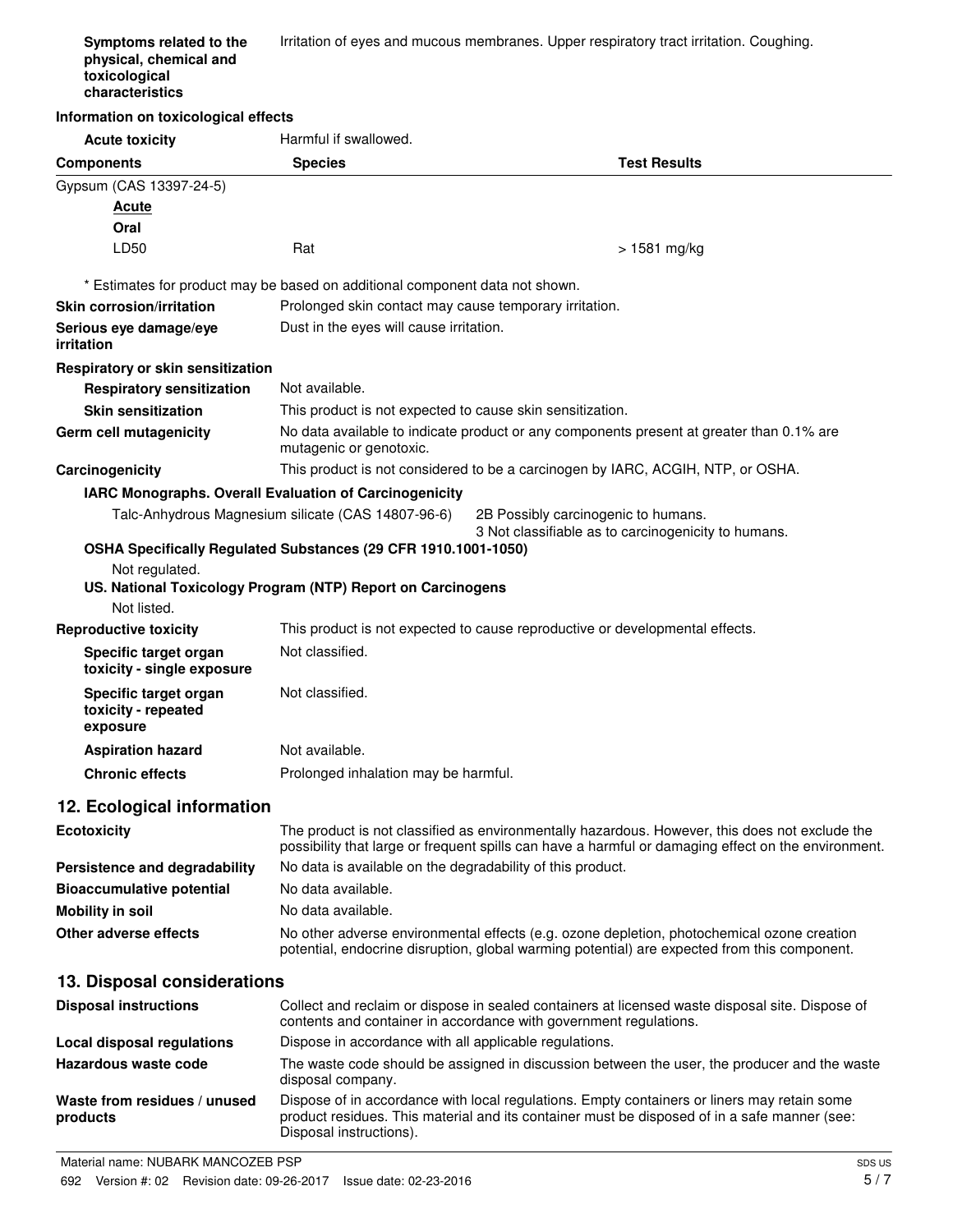| Symptoms related to the<br>physical, chemical and<br>toxicological<br>characteristics | Irritation of eyes and mucous membranes. Upper respiratory tract irritation. Coughing. |
|---------------------------------------------------------------------------------------|----------------------------------------------------------------------------------------|
| Information on toxicological effects                                                  |                                                                                        |

| <b>Acute toxicity</b>                                                                                                                                                                                      | Harmful if swallowed.                                                                                                                                                                                                  |                     |  |  |
|------------------------------------------------------------------------------------------------------------------------------------------------------------------------------------------------------------|------------------------------------------------------------------------------------------------------------------------------------------------------------------------------------------------------------------------|---------------------|--|--|
| <b>Components</b>                                                                                                                                                                                          | <b>Species</b>                                                                                                                                                                                                         | <b>Test Results</b> |  |  |
| Gypsum (CAS 13397-24-5)                                                                                                                                                                                    |                                                                                                                                                                                                                        |                     |  |  |
| <u>Acute</u>                                                                                                                                                                                               |                                                                                                                                                                                                                        |                     |  |  |
| Oral                                                                                                                                                                                                       |                                                                                                                                                                                                                        |                     |  |  |
| LD50                                                                                                                                                                                                       | Rat                                                                                                                                                                                                                    | $>1581$ mg/kg       |  |  |
| * Estimates for product may be based on additional component data not shown.                                                                                                                               |                                                                                                                                                                                                                        |                     |  |  |
| <b>Skin corrosion/irritation</b>                                                                                                                                                                           | Prolonged skin contact may cause temporary irritation.                                                                                                                                                                 |                     |  |  |
| Serious eye damage/eye<br>irritation                                                                                                                                                                       | Dust in the eyes will cause irritation.                                                                                                                                                                                |                     |  |  |
| Respiratory or skin sensitization                                                                                                                                                                          |                                                                                                                                                                                                                        |                     |  |  |
| <b>Respiratory sensitization</b>                                                                                                                                                                           | Not available.                                                                                                                                                                                                         |                     |  |  |
| <b>Skin sensitization</b>                                                                                                                                                                                  | This product is not expected to cause skin sensitization.                                                                                                                                                              |                     |  |  |
| Germ cell mutagenicity                                                                                                                                                                                     | No data available to indicate product or any components present at greater than 0.1% are<br>mutagenic or genotoxic.                                                                                                    |                     |  |  |
| Carcinogenicity                                                                                                                                                                                            | This product is not considered to be a carcinogen by IARC, ACGIH, NTP, or OSHA.                                                                                                                                        |                     |  |  |
| IARC Monographs. Overall Evaluation of Carcinogenicity<br>Talc-Anhydrous Magnesium silicate (CAS 14807-96-6)<br>2B Possibly carcinogenic to humans.<br>3 Not classifiable as to carcinogenicity to humans. |                                                                                                                                                                                                                        |                     |  |  |
|                                                                                                                                                                                                            | OSHA Specifically Regulated Substances (29 CFR 1910.1001-1050)                                                                                                                                                         |                     |  |  |
| Not regulated.<br>US. National Toxicology Program (NTP) Report on Carcinogens                                                                                                                              |                                                                                                                                                                                                                        |                     |  |  |
| Not listed.                                                                                                                                                                                                |                                                                                                                                                                                                                        |                     |  |  |
| <b>Reproductive toxicity</b>                                                                                                                                                                               | This product is not expected to cause reproductive or developmental effects.                                                                                                                                           |                     |  |  |
| Specific target organ<br>toxicity - single exposure                                                                                                                                                        | Not classified.                                                                                                                                                                                                        |                     |  |  |
| Specific target organ<br>toxicity - repeated<br>exposure                                                                                                                                                   | Not classified.                                                                                                                                                                                                        |                     |  |  |
| <b>Aspiration hazard</b>                                                                                                                                                                                   | Not available.                                                                                                                                                                                                         |                     |  |  |
| <b>Chronic effects</b>                                                                                                                                                                                     | Prolonged inhalation may be harmful.                                                                                                                                                                                   |                     |  |  |
| 12. Ecological information                                                                                                                                                                                 |                                                                                                                                                                                                                        |                     |  |  |
| <b>Ecotoxicity</b>                                                                                                                                                                                         | The product is not classified as environmentally hazardous. However, this does not exclude the<br>possibility that large or frequent spills can have a harmful or damaging effect on the environment.                  |                     |  |  |
| Persistence and degradability                                                                                                                                                                              | No data is available on the degradability of this product.                                                                                                                                                             |                     |  |  |
| <b>Bioaccumulative potential</b>                                                                                                                                                                           | No data available.                                                                                                                                                                                                     |                     |  |  |
| <b>Mobility in soil</b>                                                                                                                                                                                    | No data available.                                                                                                                                                                                                     |                     |  |  |
| Other adverse effects                                                                                                                                                                                      | No other adverse environmental effects (e.g. ozone depletion, photochemical ozone creation<br>potential, endocrine disruption, global warming potential) are expected from this component.                             |                     |  |  |
| 13. Disposal considerations                                                                                                                                                                                |                                                                                                                                                                                                                        |                     |  |  |
| <b>Disposal instructions</b>                                                                                                                                                                               | Collect and reclaim or dispose in sealed containers at licensed waste disposal site. Dispose of<br>contents and container in accordance with government regulations.                                                   |                     |  |  |
| <b>Local disposal regulations</b>                                                                                                                                                                          | Dispose in accordance with all applicable regulations.                                                                                                                                                                 |                     |  |  |
| Hazardous waste code                                                                                                                                                                                       | The waste code should be assigned in discussion between the user, the producer and the waste<br>disposal company.                                                                                                      |                     |  |  |
| Waste from residues / unused<br>products                                                                                                                                                                   | Dispose of in accordance with local regulations. Empty containers or liners may retain some<br>product residues. This material and its container must be disposed of in a safe manner (see:<br>Disposal instructions). |                     |  |  |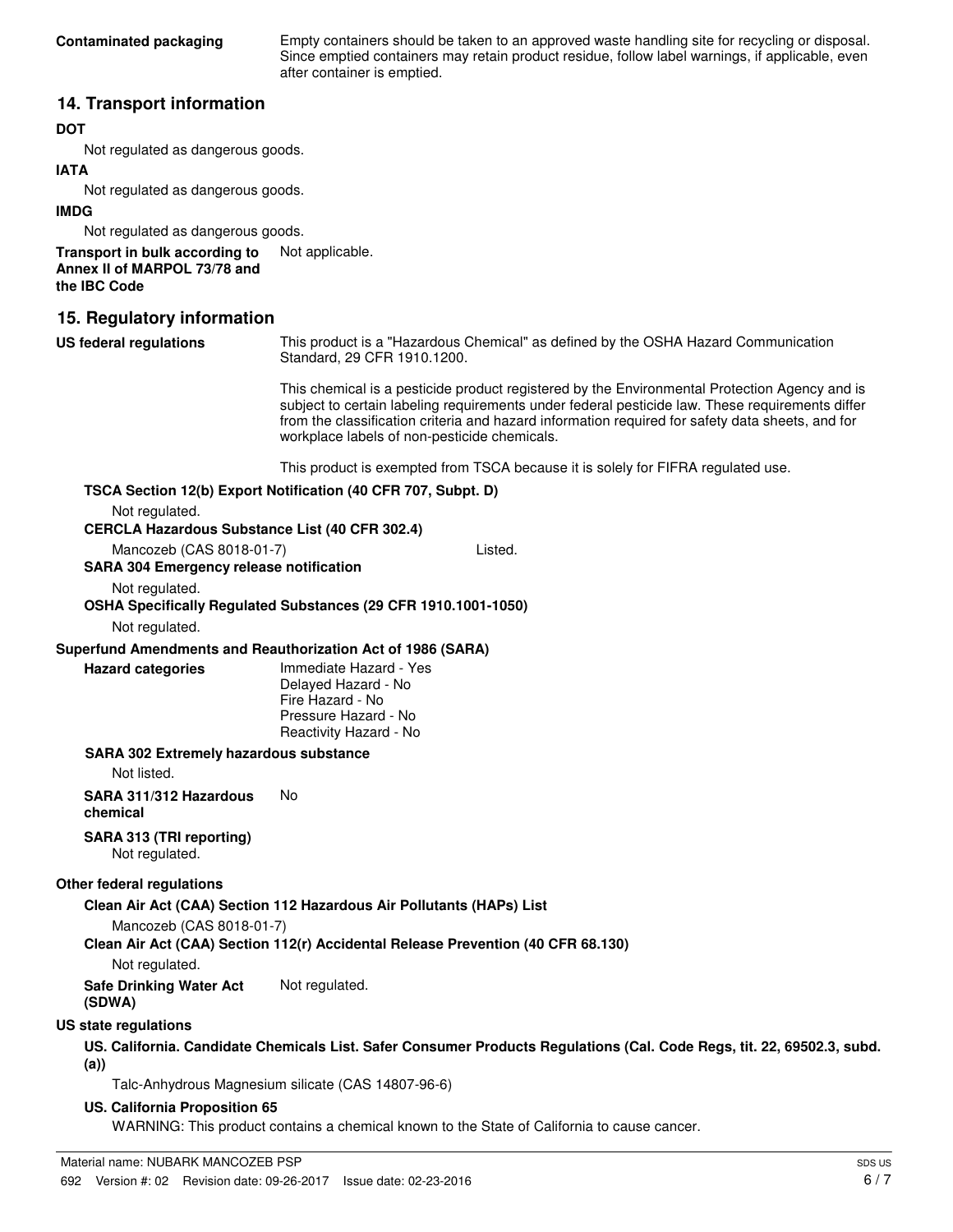Empty containers should be taken to an approved waste handling site for recycling or disposal. Since emptied containers may retain product residue, follow label warnings, if applicable, even after container is emptied.

#### **14. Transport information**

#### **DOT**

Not regulated as dangerous goods.

#### **IATA**

Not regulated as dangerous goods.

#### **IMDG**

Not regulated as dangerous goods.

#### **Transport in bulk according to** Not applicable. **Annex II of MARPOL 73/78 and the IBC Code**

#### **15. Regulatory information**

| US federal regulations | This product is a "Hazardous Chemical" as defined by the OSHA Hazard Communication |
|------------------------|------------------------------------------------------------------------------------|
|                        | Standard, 29 CFR 1910.1200.                                                        |

This chemical is a pesticide product registered by the Environmental Protection Agency and is subject to certain labeling requirements under federal pesticide law. These requirements differ from the classification criteria and hazard information required for safety data sheets, and for workplace labels of non-pesticide chemicals.

This product is exempted from TSCA because it is solely for FIFRA regulated use.

#### **TSCA Section 12(b) Export Notification (40 CFR 707, Subpt. D)**

Not regulated.

#### **CERCLA Hazardous Substance List (40 CFR 302.4)**

Mancozeb (CAS 8018-01-7) Listed. **SARA 304 Emergency release notification**

Not regulated.

**OSHA Specifically Regulated Substances (29 CFR 1910.1001-1050)**

Not regulated.

#### **Superfund Amendments and Reauthorization Act of 1986 (SARA)**

**Hazard categories**

Immediate Hazard - Yes Delayed Hazard - No Fire Hazard - No Pressure Hazard - No Reactivity Hazard - No

#### **SARA 302 Extremely hazardous substance**

Not listed.

**SARA 311/312 Hazardous** No **chemical**

#### **SARA 313 (TRI reporting)**

Not regulated.

#### **Other federal regulations**

#### **Clean Air Act (CAA) Section 112 Hazardous Air Pollutants (HAPs) List**

Mancozeb (CAS 8018-01-7)

**Clean Air Act (CAA) Section 112(r) Accidental Release Prevention (40 CFR 68.130)**

Not regulated.

**Safe Drinking Water Act** Not regulated.

**(SDWA)**

#### **US state regulations**

#### **US. California. Candidate Chemicals List. Safer Consumer Products Regulations (Cal. Code Regs, tit. 22, 69502.3, subd. (a))**

Talc-Anhydrous Magnesium silicate (CAS 14807-96-6)

#### **US. California Proposition 65**

WARNING: This product contains a chemical known to the State of California to cause cancer.